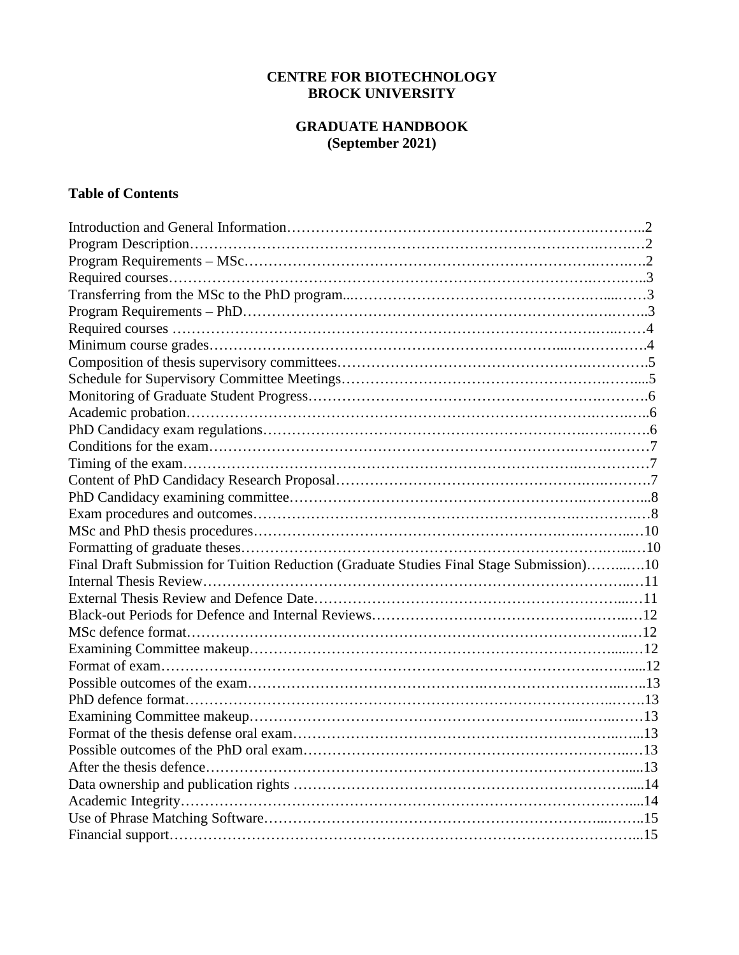# **CENTRE FOR BIOTECHNOLOGY BROCK UNIVERSITY**

# **GRADUATE HANDBOOK (September 2021)**

# **Table of Contents**

| Final Draft Submission for Tuition Reduction (Graduate Studies Final Stage Submission)10 |  |
|------------------------------------------------------------------------------------------|--|
|                                                                                          |  |
|                                                                                          |  |
|                                                                                          |  |
|                                                                                          |  |
|                                                                                          |  |
|                                                                                          |  |
|                                                                                          |  |
|                                                                                          |  |
|                                                                                          |  |
|                                                                                          |  |
|                                                                                          |  |
|                                                                                          |  |
|                                                                                          |  |
|                                                                                          |  |
|                                                                                          |  |
|                                                                                          |  |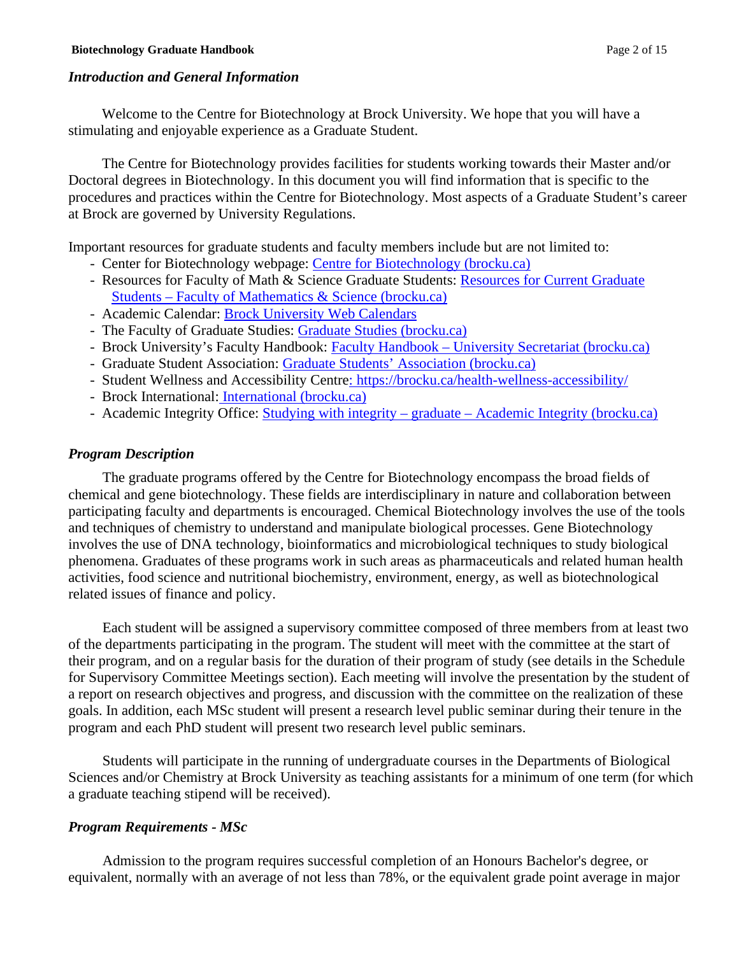### *Introduction and General Information*

Welcome to the Centre for Biotechnology at Brock University. We hope that you will have a stimulating and enjoyable experience as a Graduate Student.

The Centre for Biotechnology provides facilities for students working towards their Master and/or Doctoral degrees in Biotechnology. In this document you will find information that is specific to the procedures and practices within the Centre for Biotechnology. Most aspects of a Graduate Student's career at Brock are governed by University Regulations.

Important resources for graduate students and faculty members include but are not limited to:

- Center for Biotechnology webpage: [Centre for Biotechnology \(brocku.ca\)](https://brocku.ca/mathematics-science/biotechnology/)
- Resources for Faculty of Math & Science Graduate Students: Resources for Current Graduate Students – [Faculty of Mathematics & Science \(brocku.ca\)](https://brocku.ca/mathematics-science/resources-for-graduate-students/)
- Academic Calendar: [Brock University Web Calendars](https://brocku.ca/webcal/)
- The Faculty of Graduate Studies: [Graduate Studies \(brocku.ca\)](https://brocku.ca/graduate-studies/)
- Brock University's Faculty Handbook: [Faculty Handbook –](https://brocku.ca/university-secretariat/faculty-handbook/) [University Secretariat \(brocku.ca\)](https://brocku.ca/university-secretariat/faculty-handbook/)
- Graduate Student Association: [Graduate Students' Association \(brocku.ca\)](https://brocku.ca/graduate-students-association/)
- Student Wellness and Accessibility Centre:<https://brocku.ca/health-wellness-accessibility/>
- Brock International: [International \(brocku.ca\)](https://brocku.ca/international/)
- Academic Integrity Office: Studying with integrity graduate [Academic Integrity \(brocku.ca\)](https://brocku.ca/academic-integrity/graduate-studying-with-integrity/)

## *Program Description*

The graduate programs offered by the Centre for Biotechnology encompass the broad fields of chemical and gene biotechnology. These fields are interdisciplinary in nature and collaboration between participating faculty and departments is encouraged. Chemical Biotechnology involves the use of the tools and techniques of chemistry to understand and manipulate biological processes. Gene Biotechnology involves the use of DNA technology, bioinformatics and microbiological techniques to study biological phenomena. Graduates of these programs work in such areas as pharmaceuticals and related human health activities, food science and nutritional biochemistry, environment, energy, as well as biotechnological related issues of finance and policy.

Each student will be assigned a supervisory committee composed of three members from at least two of the departments participating in the program. The student will meet with the committee at the start of their program, and on a regular basis for the duration of their program of study (see details in the Schedule for Supervisory Committee Meetings section). Each meeting will involve the presentation by the student of a report on research objectives and progress, and discussion with the committee on the realization of these goals. In addition, each MSc student will present a research level public seminar during their tenure in the program and each PhD student will present two research level public seminars.

Students will participate in the running of undergraduate courses in the Departments of Biological Sciences and/or Chemistry at Brock University as teaching assistants for a minimum of one term (for which a graduate teaching stipend will be received).

## *Program Requirements - MSc*

Admission to the program requires successful completion of an Honours Bachelor's degree, or equivalent, normally with an average of not less than 78%, or the equivalent grade point average in major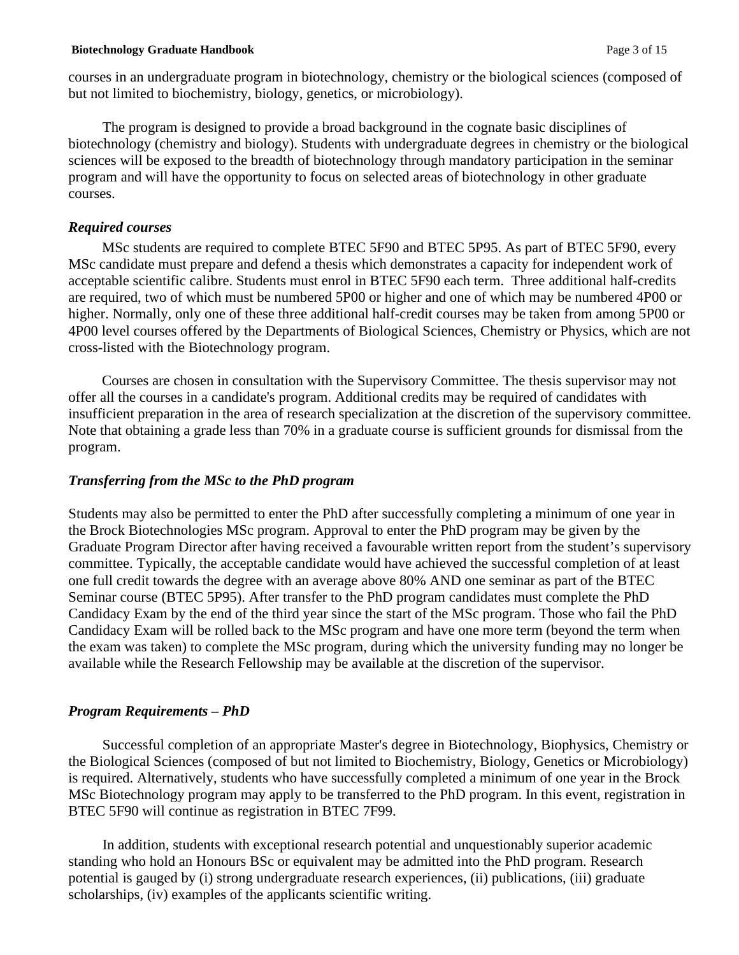#### **Biotechnology Graduate Handbook** Page 3 of 15

courses in an undergraduate program in biotechnology, chemistry or the biological sciences (composed of but not limited to biochemistry, biology, genetics, or microbiology).

The program is designed to provide a broad background in the cognate basic disciplines of biotechnology (chemistry and biology). Students with undergraduate degrees in chemistry or the biological sciences will be exposed to the breadth of biotechnology through mandatory participation in the seminar program and will have the opportunity to focus on selected areas of biotechnology in other graduate courses.

### *Required courses*

MSc students are required to complete BTEC 5F90 and BTEC 5P95. As part of BTEC 5F90, every MSc candidate must prepare and defend a thesis which demonstrates a capacity for independent work of acceptable scientific calibre. Students must enrol in BTEC 5F90 each term. Three additional half-credits are required, two of which must be numbered 5P00 or higher and one of which may be numbered 4P00 or higher. Normally, only one of these three additional half-credit courses may be taken from among 5P00 or 4P00 level courses offered by the Departments of Biological Sciences, Chemistry or Physics, which are not cross-listed with the Biotechnology program.

Courses are chosen in consultation with the Supervisory Committee. The thesis supervisor may not offer all the courses in a candidate's program. Additional credits may be required of candidates with insufficient preparation in the area of research specialization at the discretion of the supervisory committee. Note that obtaining a grade less than 70% in a graduate course is sufficient grounds for dismissal from the program.

## *Transferring from the MSc to the PhD program*

Students may also be permitted to enter the PhD after successfully completing a minimum of one year in the Brock Biotechnologies MSc program. Approval to enter the PhD program may be given by the Graduate Program Director after having received a favourable written report from the student's supervisory committee. Typically, the acceptable candidate would have achieved the successful completion of at least one full credit towards the degree with an average above 80% AND one seminar as part of the BTEC Seminar course (BTEC 5P95). After transfer to the PhD program candidates must complete the PhD Candidacy Exam by the end of the third year since the start of the MSc program. Those who fail the PhD Candidacy Exam will be rolled back to the MSc program and have one more term (beyond the term when the exam was taken) to complete the MSc program, during which the university funding may no longer be available while the Research Fellowship may be available at the discretion of the supervisor.

## *Program Requirements – PhD*

Successful completion of an appropriate Master's degree in Biotechnology, Biophysics, Chemistry or the Biological Sciences (composed of but not limited to Biochemistry, Biology, Genetics or Microbiology) is required. Alternatively, students who have successfully completed a minimum of one year in the Brock MSc Biotechnology program may apply to be transferred to the PhD program. In this event, registration in BTEC 5F90 will continue as registration in BTEC 7F99.

In addition, students with exceptional research potential and unquestionably superior academic standing who hold an Honours BSc or equivalent may be admitted into the PhD program. Research potential is gauged by (i) strong undergraduate research experiences, (ii) publications, (iii) graduate scholarships, (iv) examples of the applicants scientific writing.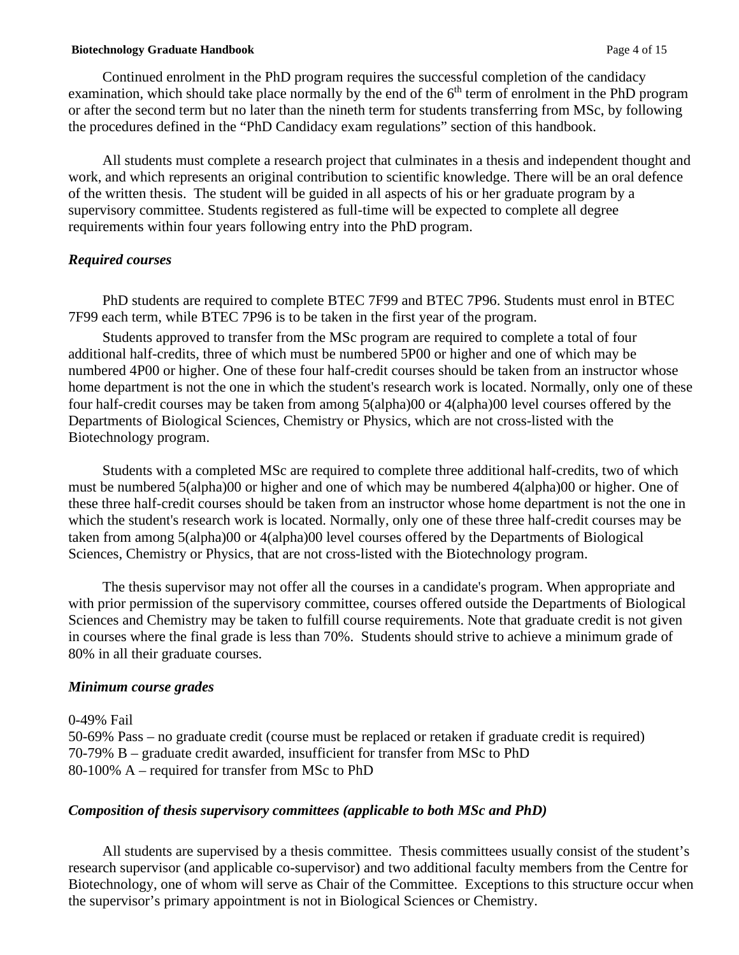#### **Biotechnology Graduate Handbook** Page 4 of 15

Continued enrolment in the PhD program requires the successful completion of the candidacy examination, which should take place normally by the end of the  $6<sup>th</sup>$  term of enrolment in the PhD program or after the second term but no later than the nineth term for students transferring from MSc, by following the procedures defined in the "PhD Candidacy exam regulations" section of this handbook.

All students must complete a research project that culminates in a thesis and independent thought and work, and which represents an original contribution to scientific knowledge. There will be an oral defence of the written thesis. The student will be guided in all aspects of his or her graduate program by a supervisory committee. Students registered as full-time will be expected to complete all degree requirements within four years following entry into the PhD program.

### *Required courses*

PhD students are required to complete BTEC 7F99 and BTEC 7P96. Students must enrol in BTEC 7F99 each term, while BTEC 7P96 is to be taken in the first year of the program.

Students approved to transfer from the MSc program are required to complete a total of four additional half-credits, three of which must be numbered 5P00 or higher and one of which may be numbered 4P00 or higher. One of these four half-credit courses should be taken from an instructor whose home department is not the one in which the student's research work is located. Normally, only one of these four half-credit courses may be taken from among 5(alpha)00 or 4(alpha)00 level courses offered by the Departments of Biological Sciences, Chemistry or Physics, which are not cross-listed with the Biotechnology program.

Students with a completed MSc are required to complete three additional half-credits, two of which must be numbered 5(alpha)00 or higher and one of which may be numbered 4(alpha)00 or higher. One of these three half-credit courses should be taken from an instructor whose home department is not the one in which the student's research work is located. Normally, only one of these three half-credit courses may be taken from among 5(alpha)00 or 4(alpha)00 level courses offered by the Departments of Biological Sciences, Chemistry or Physics, that are not cross-listed with the Biotechnology program.

The thesis supervisor may not offer all the courses in a candidate's program. When appropriate and with prior permission of the supervisory committee, courses offered outside the Departments of Biological Sciences and Chemistry may be taken to fulfill course requirements. Note that graduate credit is not given in courses where the final grade is less than 70%. Students should strive to achieve a minimum grade of 80% in all their graduate courses.

### *Minimum course grades*

0-49% Fail 50-69% Pass – no graduate credit (course must be replaced or retaken if graduate credit is required) 70-79% B – graduate credit awarded, insufficient for transfer from MSc to PhD 80-100% A – required for transfer from MSc to PhD

## *Composition of thesis supervisory committees (applicable to both MSc and PhD)*

All students are supervised by a thesis committee. Thesis committees usually consist of the student's research supervisor (and applicable co-supervisor) and two additional faculty members from the Centre for Biotechnology, one of whom will serve as Chair of the Committee. Exceptions to this structure occur when the supervisor's primary appointment is not in Biological Sciences or Chemistry.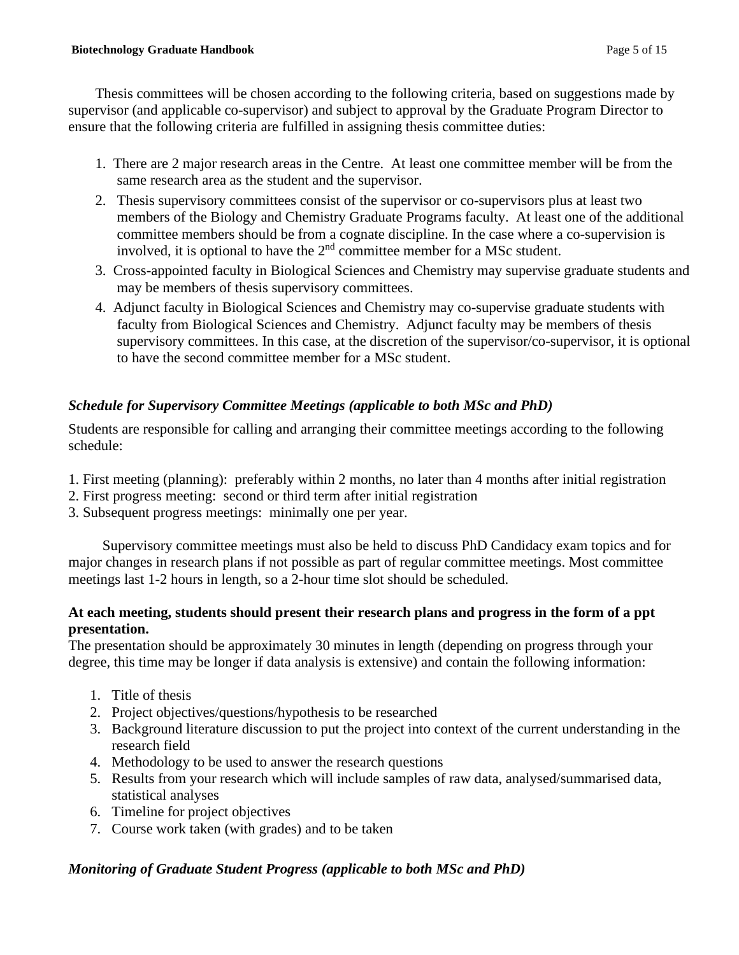Thesis committees will be chosen according to the following criteria, based on suggestions made by supervisor (and applicable co-supervisor) and subject to approval by the Graduate Program Director to ensure that the following criteria are fulfilled in assigning thesis committee duties:

- 1. There are 2 major research areas in the Centre. At least one committee member will be from the same research area as the student and the supervisor.
- 2. Thesis supervisory committees consist of the supervisor or co-supervisors plus at least two members of the Biology and Chemistry Graduate Programs faculty. At least one of the additional committee members should be from a cognate discipline. In the case where a co-supervision is involved, it is optional to have the  $2<sup>nd</sup>$  committee member for a MSc student.
- 3. Cross-appointed faculty in Biological Sciences and Chemistry may supervise graduate students and may be members of thesis supervisory committees.
- 4. Adjunct faculty in Biological Sciences and Chemistry may co-supervise graduate students with faculty from Biological Sciences and Chemistry. Adjunct faculty may be members of thesis supervisory committees. In this case, at the discretion of the supervisor/co-supervisor, it is optional to have the second committee member for a MSc student.

# *Schedule for Supervisory Committee Meetings (applicable to both MSc and PhD)*

Students are responsible for calling and arranging their committee meetings according to the following schedule:

- 1. First meeting (planning): preferably within 2 months, no later than 4 months after initial registration
- 2. First progress meeting: second or third term after initial registration
- 3. Subsequent progress meetings: minimally one per year.

Supervisory committee meetings must also be held to discuss PhD Candidacy exam topics and for major changes in research plans if not possible as part of regular committee meetings. Most committee meetings last 1-2 hours in length, so a 2-hour time slot should be scheduled.

# **At each meeting, students should present their research plans and progress in the form of a ppt presentation.**

The presentation should be approximately 30 minutes in length (depending on progress through your degree, this time may be longer if data analysis is extensive) and contain the following information:

- 1. Title of thesis
- 2. Project objectives/questions/hypothesis to be researched
- 3. Background literature discussion to put the project into context of the current understanding in the research field
- 4. Methodology to be used to answer the research questions
- 5. Results from your research which will include samples of raw data, analysed/summarised data, statistical analyses
- 6. Timeline for project objectives
- 7. Course work taken (with grades) and to be taken

# *Monitoring of Graduate Student Progress (applicable to both MSc and PhD)*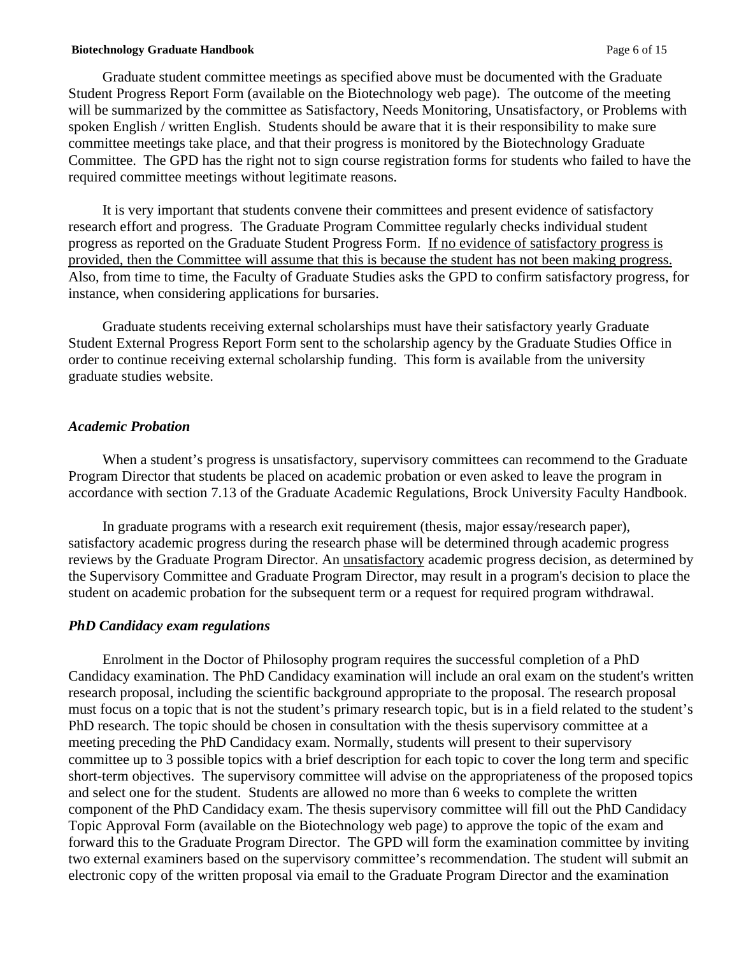#### **Biotechnology Graduate Handbook** Page 6 of 15

Graduate student committee meetings as specified above must be documented with the Graduate Student Progress Report Form (available on the Biotechnology web page). The outcome of the meeting will be summarized by the committee as Satisfactory, Needs Monitoring, Unsatisfactory, or Problems with spoken English / written English.Students should be aware that it is their responsibility to make sure committee meetings take place, and that their progress is monitored by the Biotechnology Graduate Committee. The GPD has the right not to sign course registration forms for students who failed to have the required committee meetings without legitimate reasons.

It is very important that students convene their committees and present evidence of satisfactory research effort and progress. The Graduate Program Committee regularly checks individual student progress as reported on the Graduate Student Progress Form. If no evidence of satisfactory progress is provided, then the Committee will assume that this is because the student has not been making progress. Also, from time to time, the Faculty of Graduate Studies asks the GPD to confirm satisfactory progress, for instance, when considering applications for bursaries.

Graduate students receiving external scholarships must have their satisfactory yearly Graduate Student External Progress Report Form sent to the scholarship agency by the Graduate Studies Office in order to continue receiving external scholarship funding. This form is available from the university graduate studies website.

### *Academic Probation*

When a student's progress is unsatisfactory, supervisory committees can recommend to the Graduate Program Director that students be placed on academic probation or even asked to leave the program in accordance with section 7.13 of the Graduate Academic Regulations, Brock University Faculty Handbook.

In graduate programs with a research exit requirement (thesis, major essay/research paper), satisfactory academic progress during the research phase will be determined through academic progress reviews by the Graduate Program Director. An unsatisfactory academic progress decision, as determined by the Supervisory Committee and Graduate Program Director, may result in a program's decision to place the student on academic probation for the subsequent term or a request for required program withdrawal.

### *PhD Candidacy exam regulations*

Enrolment in the Doctor of Philosophy program requires the successful completion of a PhD Candidacy examination. The PhD Candidacy examination will include an oral exam on the student's written research proposal, including the scientific background appropriate to the proposal. The research proposal must focus on a topic that is not the student's primary research topic, but is in a field related to the student's PhD research. The topic should be chosen in consultation with the thesis supervisory committee at a meeting preceding the PhD Candidacy exam. Normally, students will present to their supervisory committee up to 3 possible topics with a brief description for each topic to cover the long term and specific short-term objectives. The supervisory committee will advise on the appropriateness of the proposed topics and select one for the student. Students are allowed no more than 6 weeks to complete the written component of the PhD Candidacy exam. The thesis supervisory committee will fill out the PhD Candidacy Topic Approval Form (available on the Biotechnology web page) to approve the topic of the exam and forward this to the Graduate Program Director. The GPD will form the examination committee by inviting two external examiners based on the supervisory committee's recommendation. The student will submit an electronic copy of the written proposal via email to the Graduate Program Director and the examination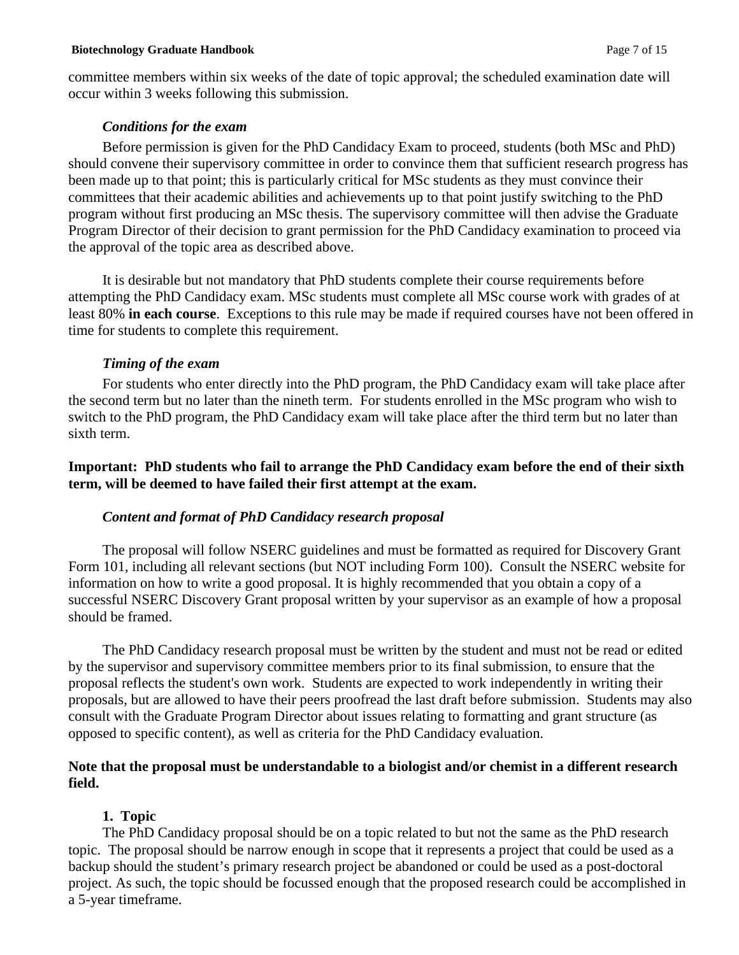#### **Biotechnology Graduate Handbook** Page 7 of 15

committee members within six weeks of the date of topic approval; the scheduled examination date will occur within 3 weeks following this submission.

### *Conditions for the exam*

Before permission is given for the PhD Candidacy Exam to proceed, students (both MSc and PhD) should convene their supervisory committee in order to convince them that sufficient research progress has been made up to that point; this is particularly critical for MSc students as they must convince their committees that their academic abilities and achievements up to that point justify switching to the PhD program without first producing an MSc thesis. The supervisory committee will then advise the Graduate Program Director of their decision to grant permission for the PhD Candidacy examination to proceed via the approval of the topic area as described above.

It is desirable but not mandatory that PhD students complete their course requirements before attempting the PhD Candidacy exam. MSc students must complete all MSc course work with grades of at least 80% **in each course**. Exceptions to this rule may be made if required courses have not been offered in time for students to complete this requirement.

### *Timing of the exam*

For students who enter directly into the PhD program, the PhD Candidacy exam will take place after the second term but no later than the nineth term. For students enrolled in the MSc program who wish to switch to the PhD program, the PhD Candidacy exam will take place after the third term but no later than sixth term.

## **Important: PhD students who fail to arrange the PhD Candidacy exam before the end of their sixth term, will be deemed to have failed their first attempt at the exam.**

### *Content and format of PhD Candidacy research proposal*

The proposal will follow NSERC guidelines and must be formatted as required for Discovery Grant Form 101, including all relevant sections (but NOT including Form 100). Consult the NSERC website for information on how to write a good proposal. It is highly recommended that you obtain a copy of a successful NSERC Discovery Grant proposal written by your supervisor as an example of how a proposal should be framed.

The PhD Candidacy research proposal must be written by the student and must not be read or edited by the supervisor and supervisory committee members prior to its final submission, to ensure that the proposal reflects the student's own work. Students are expected to work independently in writing their proposals, but are allowed to have their peers proofread the last draft before submission. Students may also consult with the Graduate Program Director about issues relating to formatting and grant structure (as opposed to specific content), as well as criteria for the PhD Candidacy evaluation.

## **Note that the proposal must be understandable to a biologist and/or chemist in a different research field.**

## **1. Topic**

The PhD Candidacy proposal should be on a topic related to but not the same as the PhD research topic. The proposal should be narrow enough in scope that it represents a project that could be used as a backup should the student's primary research project be abandoned or could be used as a post-doctoral project. As such, the topic should be focussed enough that the proposed research could be accomplished in a 5-year timeframe.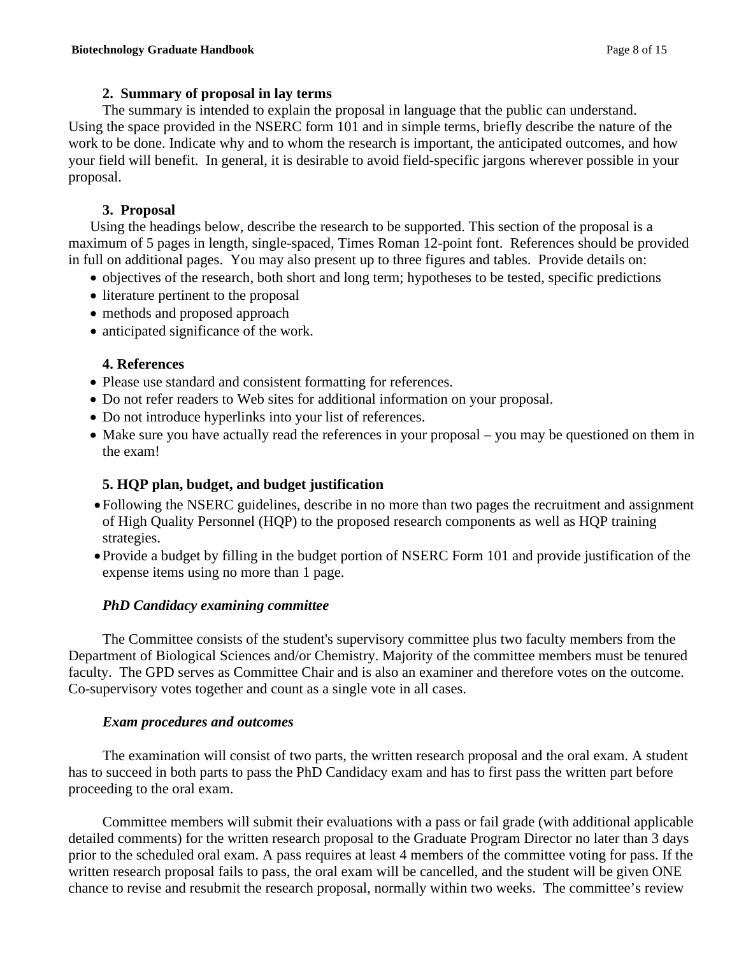# **2. Summary of proposal in lay terms**

The summary is intended to explain the proposal in language that the public can understand. Using the space provided in the NSERC form 101 and in simple terms, briefly describe the nature of the work to be done. Indicate why and to whom the research is important, the anticipated outcomes, and how your field will benefit. In general, it is desirable to avoid field-specific jargons wherever possible in your proposal.

# **3. Proposal**

Using the headings below, describe the research to be supported. This section of the proposal is a maximum of 5 pages in length, single-spaced, Times Roman 12-point font. References should be provided in full on additional pages. You may also present up to three figures and tables. Provide details on:

- objectives of the research, both short and long term; hypotheses to be tested, specific predictions
- literature pertinent to the proposal
- methods and proposed approach
- anticipated significance of the work.

# **4. References**

- Please use standard and consistent formatting for references.
- Do not refer readers to Web sites for additional information on your proposal.
- Do not introduce hyperlinks into your list of references.
- Make sure you have actually read the references in your proposal you may be questioned on them in the exam!

# **5. HQP plan, budget, and budget justification**

- •Following the NSERC guidelines, describe in no more than two pages the recruitment and assignment of High Quality Personnel (HQP) to the proposed research components as well as HQP training strategies.
- •Provide a budget by filling in the budget portion of NSERC Form 101 and provide justification of the expense items using no more than 1 page.

# *PhD Candidacy examining committee*

The Committee consists of the student's supervisory committee plus two faculty members from the Department of Biological Sciences and/or Chemistry. Majority of the committee members must be tenured faculty. The GPD serves as Committee Chair and is also an examiner and therefore votes on the outcome. Co-supervisory votes together and count as a single vote in all cases.

# *Exam procedures and outcomes*

The examination will consist of two parts, the written research proposal and the oral exam. A student has to succeed in both parts to pass the PhD Candidacy exam and has to first pass the written part before proceeding to the oral exam.

Committee members will submit their evaluations with a pass or fail grade (with additional applicable detailed comments) for the written research proposal to the Graduate Program Director no later than 3 days prior to the scheduled oral exam. A pass requires at least 4 members of the committee voting for pass. If the written research proposal fails to pass, the oral exam will be cancelled, and the student will be given ONE chance to revise and resubmit the research proposal, normally within two weeks. The committee's review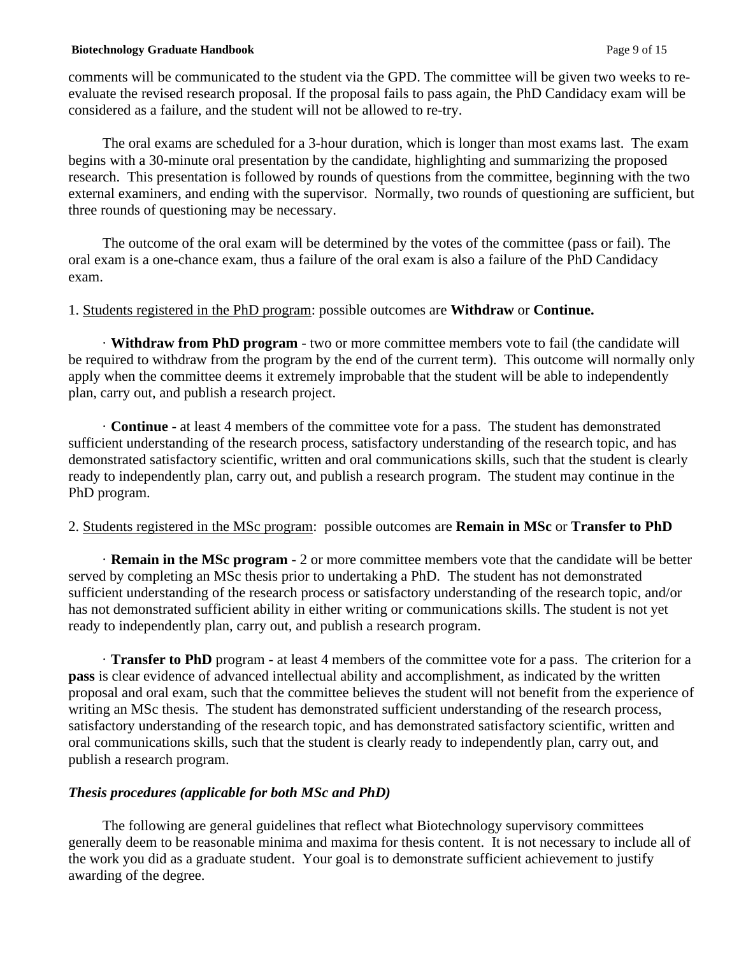### **Biotechnology Graduate Handbook** Page 9 of 15

comments will be communicated to the student via the GPD. The committee will be given two weeks to reevaluate the revised research proposal. If the proposal fails to pass again, the PhD Candidacy exam will be considered as a failure, and the student will not be allowed to re-try.

The oral exams are scheduled for a 3-hour duration, which is longer than most exams last. The exam begins with a 30-minute oral presentation by the candidate, highlighting and summarizing the proposed research. This presentation is followed by rounds of questions from the committee, beginning with the two external examiners, and ending with the supervisor. Normally, two rounds of questioning are sufficient, but three rounds of questioning may be necessary.

The outcome of the oral exam will be determined by the votes of the committee (pass or fail). The oral exam is a one-chance exam, thus a failure of the oral exam is also a failure of the PhD Candidacy exam.

## 1. Students registered in the PhD program: possible outcomes are **Withdraw** or **Continue.**

· **Withdraw from PhD program** - two or more committee members vote to fail (the candidate will be required to withdraw from the program by the end of the current term). This outcome will normally only apply when the committee deems it extremely improbable that the student will be able to independently plan, carry out, and publish a research project.

· **Continue** - at least 4 members of the committee vote for a pass. The student has demonstrated sufficient understanding of the research process, satisfactory understanding of the research topic, and has demonstrated satisfactory scientific, written and oral communications skills, such that the student is clearly ready to independently plan, carry out, and publish a research program. The student may continue in the PhD program.

# 2. Students registered in the MSc program: possible outcomes are **Remain in MSc** or **Transfer to PhD**

· **Remain in the MSc program** - 2 or more committee members vote that the candidate will be better served by completing an MSc thesis prior to undertaking a PhD. The student has not demonstrated sufficient understanding of the research process or satisfactory understanding of the research topic, and/or has not demonstrated sufficient ability in either writing or communications skills. The student is not yet ready to independently plan, carry out, and publish a research program.

· **Transfer to PhD** program - at least 4 members of the committee vote for a pass. The criterion for a **pass** is clear evidence of advanced intellectual ability and accomplishment, as indicated by the written proposal and oral exam, such that the committee believes the student will not benefit from the experience of writing an MSc thesis. The student has demonstrated sufficient understanding of the research process, satisfactory understanding of the research topic, and has demonstrated satisfactory scientific, written and oral communications skills, such that the student is clearly ready to independently plan, carry out, and publish a research program.

## *Thesis procedures (applicable for both MSc and PhD)*

The following are general guidelines that reflect what Biotechnology supervisory committees generally deem to be reasonable minima and maxima for thesis content. It is not necessary to include all of the work you did as a graduate student. Your goal is to demonstrate sufficient achievement to justify awarding of the degree.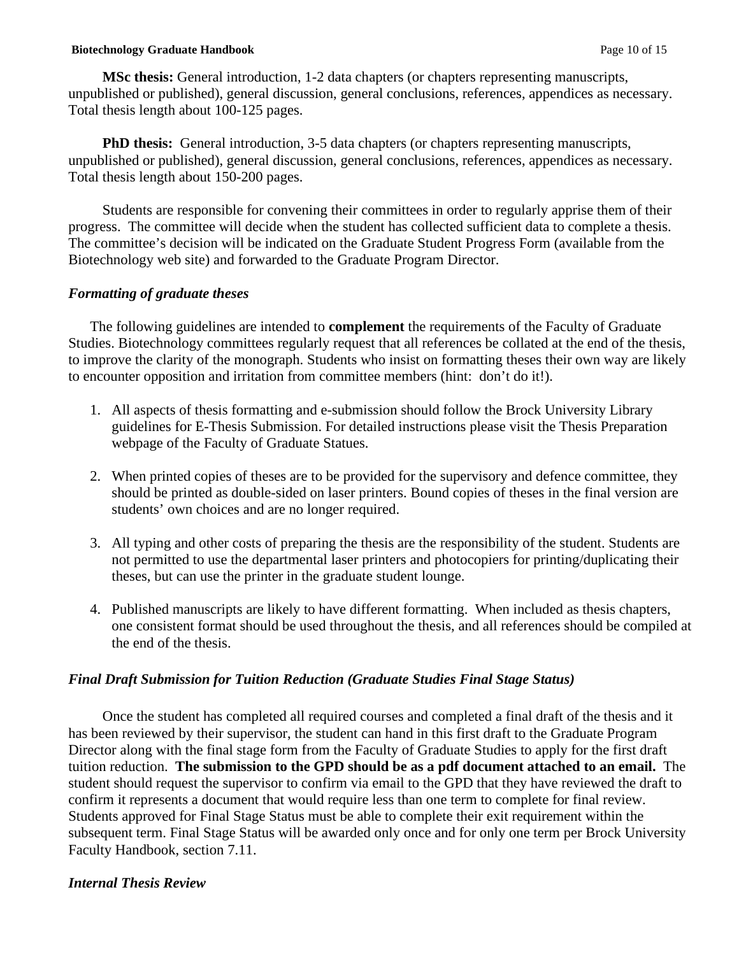### **Biotechnology Graduate Handbook Page 10 of 15**

**MSc thesis:** General introduction, 1-2 data chapters (or chapters representing manuscripts, unpublished or published), general discussion, general conclusions, references, appendices as necessary. Total thesis length about 100-125 pages.

**PhD thesis:** General introduction, 3-5 data chapters (or chapters representing manuscripts, unpublished or published), general discussion, general conclusions, references, appendices as necessary. Total thesis length about 150-200 pages.

Students are responsible for convening their committees in order to regularly apprise them of their progress. The committee will decide when the student has collected sufficient data to complete a thesis. The committee's decision will be indicated on the Graduate Student Progress Form (available from the Biotechnology web site) and forwarded to the Graduate Program Director.

## *Formatting of graduate theses*

The following guidelines are intended to **complement** the requirements of the Faculty of Graduate Studies. Biotechnology committees regularly request that all references be collated at the end of the thesis, to improve the clarity of the monograph. Students who insist on formatting theses their own way are likely to encounter opposition and irritation from committee members (hint: don't do it!).

- 1. All aspects of thesis formatting and e-submission should follow the Brock University Library guidelines for E-Thesis Submission. For detailed instructions please visit the Thesis Preparation webpage of the Faculty of Graduate Statues.
- 2. When printed copies of theses are to be provided for the supervisory and defence committee, they should be printed as double-sided on laser printers. Bound copies of theses in the final version are students' own choices and are no longer required.
- 3. All typing and other costs of preparing the thesis are the responsibility of the student. Students are not permitted to use the departmental laser printers and photocopiers for printing/duplicating their theses, but can use the printer in the graduate student lounge.
- 4. Published manuscripts are likely to have different formatting. When included as thesis chapters, one consistent format should be used throughout the thesis, and all references should be compiled at the end of the thesis.

# *Final Draft Submission for Tuition Reduction (Graduate Studies Final Stage Status)*

Once the student has completed all required courses and completed a final draft of the thesis and it has been reviewed by their supervisor, the student can hand in this first draft to the Graduate Program Director along with the final stage form from the Faculty of Graduate Studies to apply for the first draft tuition reduction. **The submission to the GPD should be as a pdf document attached to an email.** The student should request the supervisor to confirm via email to the GPD that they have reviewed the draft to confirm it represents a document that would require less than one term to complete for final review. Students approved for Final Stage Status must be able to complete their exit requirement within the subsequent term. Final Stage Status will be awarded only once and for only one term per Brock University Faculty Handbook, section 7.11.

## *Internal Thesis Review*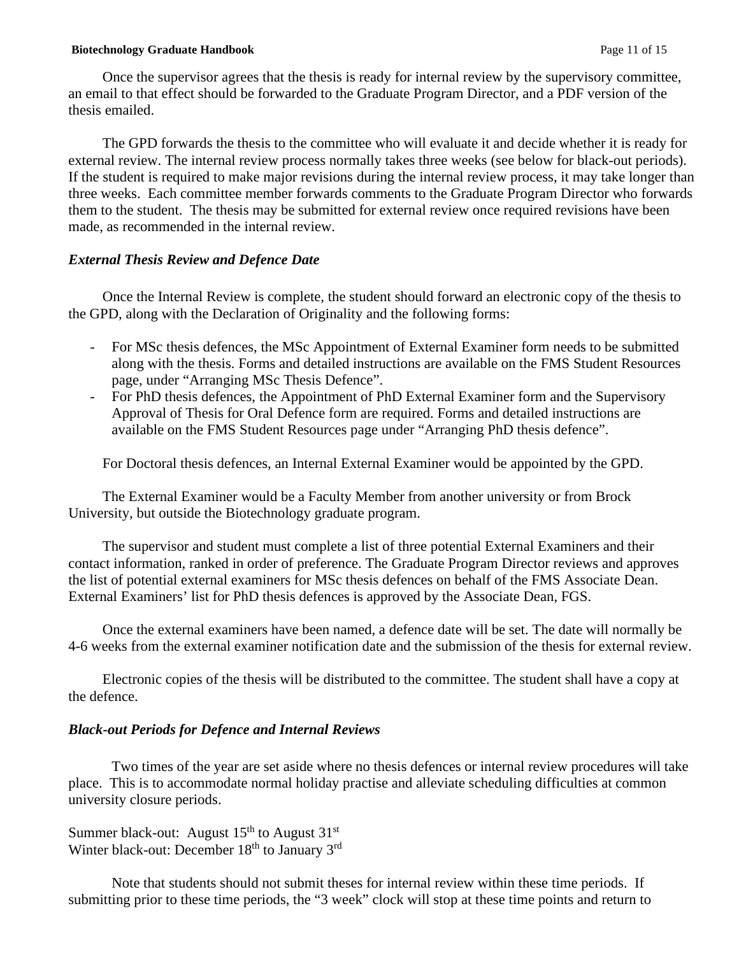#### **Biotechnology Graduate Handbook** Page 11 of 15

Once the supervisor agrees that the thesis is ready for internal review by the supervisory committee, an email to that effect should be forwarded to the Graduate Program Director, and a PDF version of the thesis emailed.

The GPD forwards the thesis to the committee who will evaluate it and decide whether it is ready for external review. The internal review process normally takes three weeks (see below for black-out periods). If the student is required to make major revisions during the internal review process, it may take longer than three weeks. Each committee member forwards comments to the Graduate Program Director who forwards them to the student. The thesis may be submitted for external review once required revisions have been made, as recommended in the internal review.

### *External Thesis Review and Defence Date*

Once the Internal Review is complete, the student should forward an electronic copy of the thesis to the GPD, along with the Declaration of Originality and the following forms:

- For MSc thesis defences, the MSc Appointment of External Examiner form needs to be submitted along with the thesis. Forms and detailed instructions are available on the FMS Student Resources page, under "Arranging MSc Thesis Defence".
- For PhD thesis defences, the Appointment of PhD External Examiner form and the Supervisory Approval of Thesis for Oral Defence form are required. Forms and detailed instructions are available on the FMS Student Resources page under "Arranging PhD thesis defence".

For Doctoral thesis defences, an Internal External Examiner would be appointed by the GPD.

The External Examiner would be a Faculty Member from another university or from Brock University, but outside the Biotechnology graduate program.

The supervisor and student must complete a list of three potential External Examiners and their contact information, ranked in order of preference. The Graduate Program Director reviews and approves the list of potential external examiners for MSc thesis defences on behalf of the FMS Associate Dean. External Examiners' list for PhD thesis defences is approved by the Associate Dean, FGS.

Once the external examiners have been named, a defence date will be set. The date will normally be 4-6 weeks from the external examiner notification date and the submission of the thesis for external review.

Electronic copies of the thesis will be distributed to the committee. The student shall have a copy at the defence.

## *Black-out Periods for Defence and Internal Reviews*

Two times of the year are set aside where no thesis defences or internal review procedures will take place. This is to accommodate normal holiday practise and alleviate scheduling difficulties at common university closure periods.

Summer black-out: August  $15<sup>th</sup>$  to August  $31<sup>st</sup>$ Winter black-out: December  $18<sup>th</sup>$  to January  $3<sup>rd</sup>$ 

Note that students should not submit theses for internal review within these time periods. If submitting prior to these time periods, the "3 week" clock will stop at these time points and return to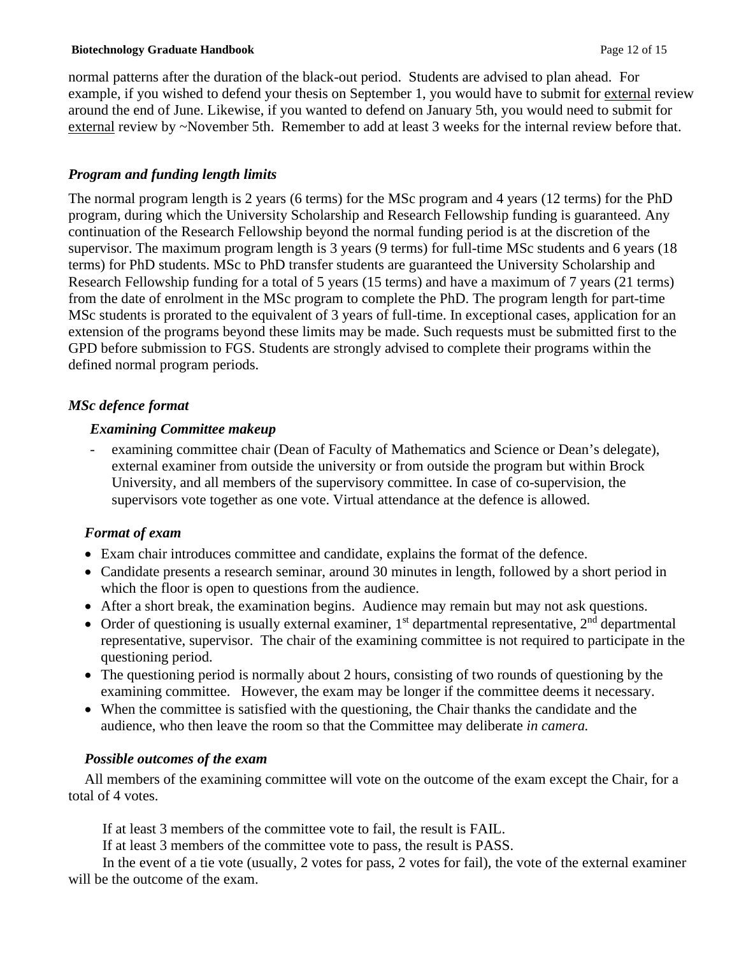### **Biotechnology Graduate Handbook** Page 12 of 15

normal patterns after the duration of the black-out period. Students are advised to plan ahead. For example, if you wished to defend your thesis on September 1, you would have to submit for external review around the end of June. Likewise, if you wanted to defend on January 5th, you would need to submit for external review by ~November 5th. Remember to add at least 3 weeks for the internal review before that.

# *Program and funding length limits*

The normal program length is 2 years (6 terms) for the MSc program and 4 years (12 terms) for the PhD program, during which the University Scholarship and Research Fellowship funding is guaranteed. Any continuation of the Research Fellowship beyond the normal funding period is at the discretion of the supervisor. The maximum program length is 3 years (9 terms) for full-time MSc students and 6 years (18 terms) for PhD students. MSc to PhD transfer students are guaranteed the University Scholarship and Research Fellowship funding for a total of 5 years (15 terms) and have a maximum of 7 years (21 terms) from the date of enrolment in the MSc program to complete the PhD. The program length for part-time MSc students is prorated to the equivalent of 3 years of full-time. In exceptional cases, application for an extension of the programs beyond these limits may be made. Such requests must be submitted first to the GPD before submission to FGS. Students are strongly advised to complete their programs within the defined normal program periods.

# *MSc defence format*

## *Examining Committee makeup*

examining committee chair (Dean of Faculty of Mathematics and Science or Dean's delegate), external examiner from outside the university or from outside the program but within Brock University, and all members of the supervisory committee. In case of co-supervision, the supervisors vote together as one vote. Virtual attendance at the defence is allowed.

# *Format of exam*

- Exam chair introduces committee and candidate, explains the format of the defence.
- Candidate presents a research seminar, around 30 minutes in length, followed by a short period in which the floor is open to questions from the audience.
- After a short break, the examination begins. Audience may remain but may not ask questions.
- Order of questioning is usually external examiner,  $1<sup>st</sup>$  departmental representative,  $2<sup>nd</sup>$  departmental representative, supervisor. The chair of the examining committee is not required to participate in the questioning period.
- The questioning period is normally about 2 hours, consisting of two rounds of questioning by the examining committee. However, the exam may be longer if the committee deems it necessary.
- When the committee is satisfied with the questioning, the Chair thanks the candidate and the audience, who then leave the room so that the Committee may deliberate *in camera.*

# *Possible outcomes of the exam*

All members of the examining committee will vote on the outcome of the exam except the Chair, for a total of 4 votes.

If at least 3 members of the committee vote to fail, the result is FAIL.

If at least 3 members of the committee vote to pass, the result is PASS.

In the event of a tie vote (usually, 2 votes for pass, 2 votes for fail), the vote of the external examiner will be the outcome of the exam.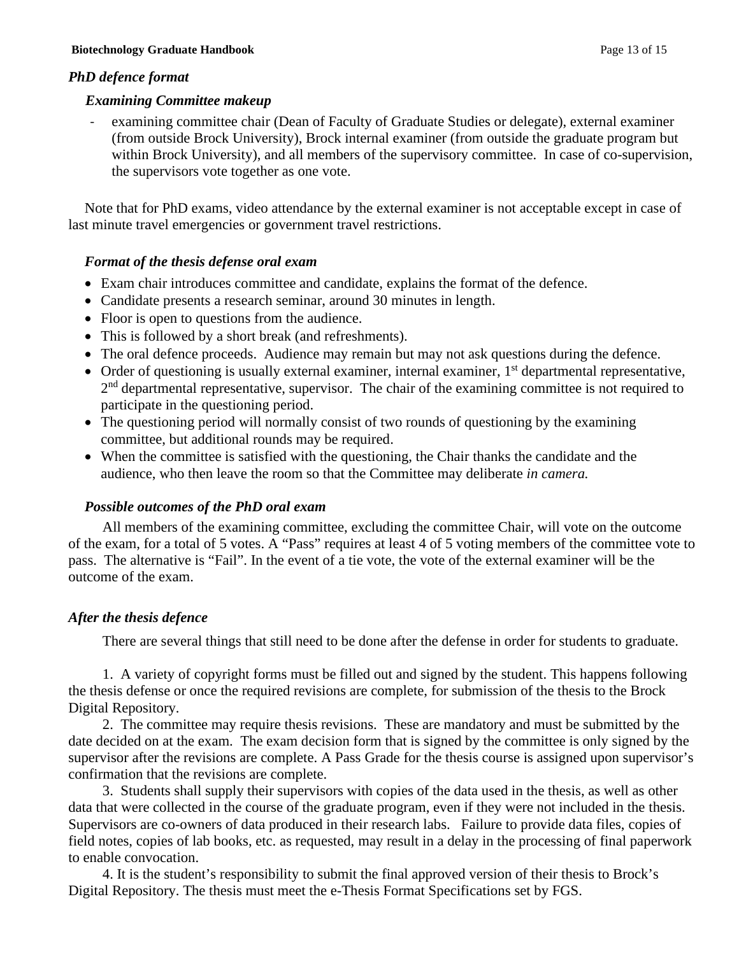# *PhD defence format*

## *Examining Committee makeup*

- examining committee chair (Dean of Faculty of Graduate Studies or delegate), external examiner (from outside Brock University), Brock internal examiner (from outside the graduate program but within Brock University), and all members of the supervisory committee.In case of co-supervision, the supervisors vote together as one vote.

Note that for PhD exams, video attendance by the external examiner is not acceptable except in case of last minute travel emergencies or government travel restrictions.

# *Format of the thesis defense oral exam*

- Exam chair introduces committee and candidate, explains the format of the defence.
- Candidate presents a research seminar, around 30 minutes in length.
- Floor is open to questions from the audience.
- This is followed by a short break (and refreshments).
- The oral defence proceeds. Audience may remain but may not ask questions during the defence.
- Order of questioning is usually external examiner, internal examiner,  $1<sup>st</sup>$  departmental representative, 2<sup>nd</sup> departmental representative, supervisor. The chair of the examining committee is not required to participate in the questioning period.
- The questioning period will normally consist of two rounds of questioning by the examining committee, but additional rounds may be required.
- When the committee is satisfied with the questioning, the Chair thanks the candidate and the audience, who then leave the room so that the Committee may deliberate *in camera.*

# *Possible outcomes of the PhD oral exam*

All members of the examining committee, excluding the committee Chair, will vote on the outcome of the exam, for a total of 5 votes. A "Pass" requires at least 4 of 5 voting members of the committee vote to pass. The alternative is "Fail". In the event of a tie vote, the vote of the external examiner will be the outcome of the exam.

# *After the thesis defence*

There are several things that still need to be done after the defense in order for students to graduate.

1. A variety of copyright forms must be filled out and signed by the student. This happens following the thesis defense or once the required revisions are complete, for submission of the thesis to the Brock Digital Repository.

2. The committee may require thesis revisions. These are mandatory and must be submitted by the date decided on at the exam. The exam decision form that is signed by the committee is only signed by the supervisor after the revisions are complete. A Pass Grade for the thesis course is assigned upon supervisor's confirmation that the revisions are complete.

3. Students shall supply their supervisors with copies of the data used in the thesis, as well as other data that were collected in the course of the graduate program, even if they were not included in the thesis. Supervisors are co-owners of data produced in their research labs. Failure to provide data files, copies of field notes, copies of lab books, etc. as requested, may result in a delay in the processing of final paperwork to enable convocation.

4. It is the student's responsibility to submit the final approved version of their thesis to Brock's Digital Repository. The thesis must meet the e-Thesis Format Specifications set by FGS.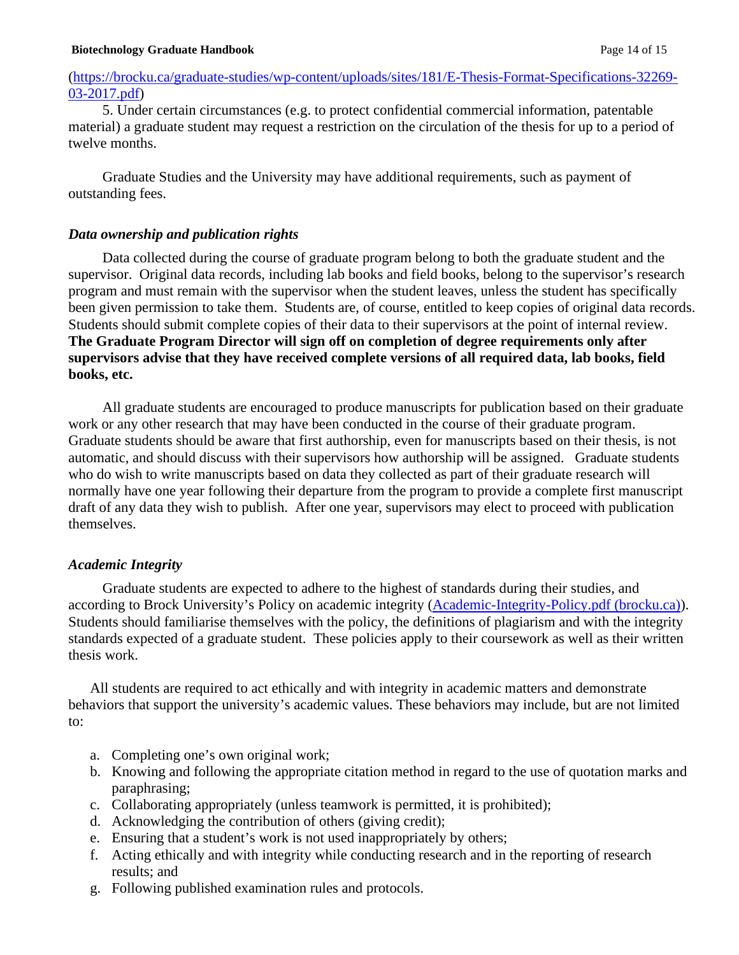## [\(https://brocku.ca/graduate-studies/wp-content/uploads/sites/181/E-Thesis-Format-Specifications-32269-](https://brocku.ca/graduate-studies/wp-content/uploads/sites/181/E-Thesis-Format-Specifications-32269-03-2017.pdf) [03-2017.pdf\)](https://brocku.ca/graduate-studies/wp-content/uploads/sites/181/E-Thesis-Format-Specifications-32269-03-2017.pdf)

5. Under certain circumstances (e.g. to protect confidential commercial information, patentable material) a graduate student may request a restriction on the circulation of the thesis for up to a period of twelve months.

Graduate Studies and the University may have additional requirements, such as payment of outstanding fees.

## *Data ownership and publication rights*

Data collected during the course of graduate program belong to both the graduate student and the supervisor. Original data records, including lab books and field books, belong to the supervisor's research program and must remain with the supervisor when the student leaves, unless the student has specifically been given permission to take them. Students are, of course, entitled to keep copies of original data records. Students should submit complete copies of their data to their supervisors at the point of internal review. **The Graduate Program Director will sign off on completion of degree requirements only after supervisors advise that they have received complete versions of all required data, lab books, field books, etc.** 

All graduate students are encouraged to produce manuscripts for publication based on their graduate work or any other research that may have been conducted in the course of their graduate program. Graduate students should be aware that first authorship, even for manuscripts based on their thesis, is not automatic, and should discuss with their supervisors how authorship will be assigned. Graduate students who do wish to write manuscripts based on data they collected as part of their graduate research will normally have one year following their departure from the program to provide a complete first manuscript draft of any data they wish to publish. After one year, supervisors may elect to proceed with publication themselves.

## *Academic Integrity*

Graduate students are expected to adhere to the highest of standards during their studies, and according to Brock University's Policy on academic integrity [\(Academic-Integrity-Policy.pdf \(brocku.ca\)\)](https://brocku.ca/academic-integrity/wp-content/uploads/sites/5/Academic-Integrity-Policy.pdf). Students should familiarise themselves with the policy, the definitions of plagiarism and with the integrity standards expected of a graduate student. These policies apply to their coursework as well as their written thesis work.

All students are required to act ethically and with integrity in academic matters and demonstrate behaviors that support the university's academic values. These behaviors may include, but are not limited to:

- a. Completing one's own original work;
- b. Knowing and following the appropriate citation method in regard to the use of quotation marks and paraphrasing;
- c. Collaborating appropriately (unless teamwork is permitted, it is prohibited);
- d. Acknowledging the contribution of others (giving credit);
- e. Ensuring that a student's work is not used inappropriately by others;
- f. Acting ethically and with integrity while conducting research and in the reporting of research results; and
- g. Following published examination rules and protocols.